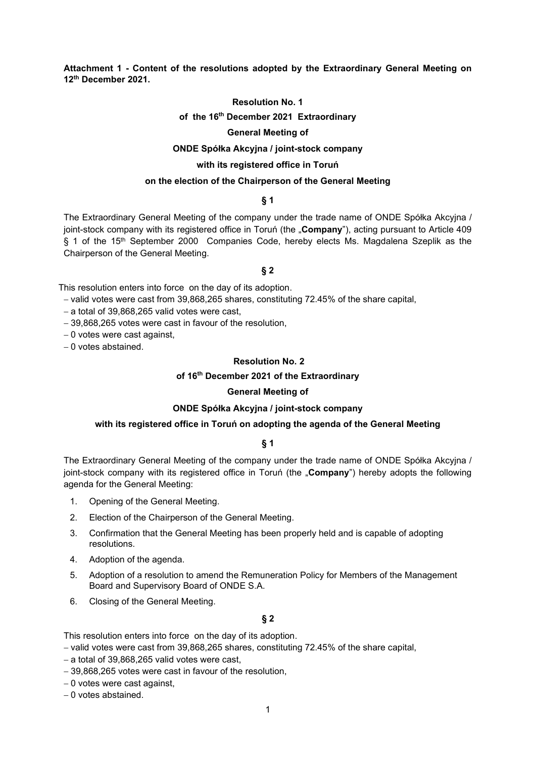**Attachment 1 - Content of the resolutions adopted by the Extraordinary General Meeting on 12th December 2021.**

### **Resolution No. 1**

### **of the 16th December 2021 Extraordinary**

## **General Meeting of**

#### **ONDE Spółka Akcyjna / joint-stock company**

# **with its registered office in Toruń**

### **on the election of the Chairperson of the General Meeting**

### **§ 1**

The Extraordinary General Meeting of the company under the trade name of ONDE Spółka Akcyjna / joint-stock company with its registered office in Toruń (the "**Company**"), acting pursuant to Article 409 § 1 of the 15<sup>th</sup> September 2000 Companies Code, hereby elects Ms. Magdalena Szeplik as the Chairperson of the General Meeting.

#### **§ 2**

This resolution enters into force on the day of its adoption.

- − valid votes were cast from 39,868,265 shares, constituting 72.45% of the share capital,
- − a total of 39,868,265 valid votes were cast,
- − 39,868,265 votes were cast in favour of the resolution,
- − 0 votes were cast against,
- − 0 votes abstained.

#### **Resolution No. 2**

### **of 16th December 2021 of the Extraordinary**

### **General Meeting of**

### **ONDE Spółka Akcyjna / joint-stock company**

#### **with its registered office in Toruń on adopting the agenda of the General Meeting**

#### **§ 1**

The Extraordinary General Meeting of the company under the trade name of ONDE Spółka Akcyjna / joint-stock company with its registered office in Toruń (the "**Company**") hereby adopts the following agenda for the General Meeting:

- 1. Opening of the General Meeting.
- 2. Election of the Chairperson of the General Meeting.
- 3. Confirmation that the General Meeting has been properly held and is capable of adopting resolutions.
- 4. Adoption of the agenda.
- 5. Adoption of a resolution to amend the Remuneration Policy for Members of the Management Board and Supervisory Board of ONDE S.A.
- 6. Closing of the General Meeting.

#### **§ 2**

This resolution enters into force on the day of its adoption.

- − valid votes were cast from 39,868,265 shares, constituting 72.45% of the share capital,
- − a total of 39,868,265 valid votes were cast,
- − 39,868,265 votes were cast in favour of the resolution,
- − 0 votes were cast against,
- − 0 votes abstained.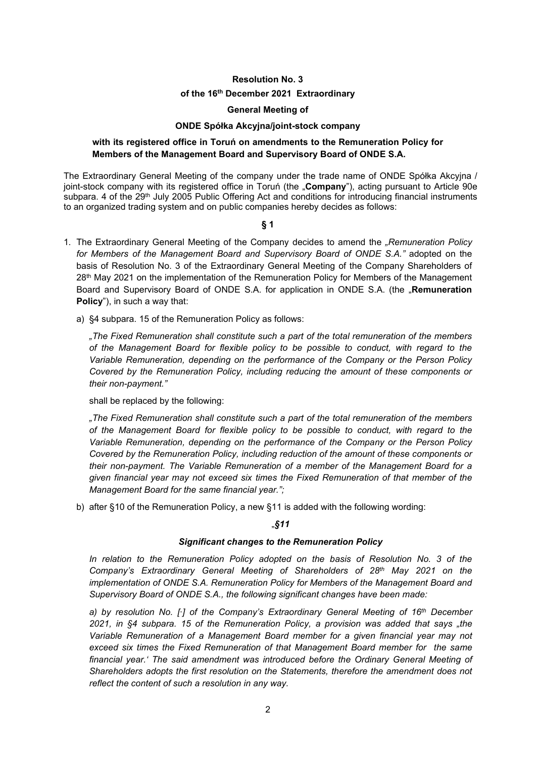### **Resolution No. 3**

#### **of the 16th December 2021 Extraordinary**

#### **General Meeting of**

#### **ONDE Spółka Akcyjna/joint-stock company**

## **with its registered office in Toruń on amendments to the Remuneration Policy for Members of the Management Board and Supervisory Board of ONDE S.A.**

The Extraordinary General Meeting of the company under the trade name of ONDE Spółka Akcyjna / joint-stock company with its registered office in Toruń (the "**Company**"), acting pursuant to Article 90e subpara. 4 of the 29<sup>th</sup> July 2005 Public Offering Act and conditions for introducing financial instruments to an organized trading system and on public companies hereby decides as follows:

#### **§ 1**

- 1. The Extraordinary General Meeting of the Company decides to amend the *"Remuneration Policy for Members of the Management Board and Supervisory Board of ONDE S.A."* adopted on the basis of Resolution No. 3 of the Extraordinary General Meeting of the Company Shareholders of 28<sup>th</sup> May 2021 on the implementation of the Remuneration Policy for Members of the Management Board and Supervisory Board of ONDE S.A. for application in ONDE S.A. (the "Remuneration **Policy**"), in such a way that:
	- a) §4 subpara. 15 of the Remuneration Policy as follows:

*"The Fixed Remuneration shall constitute such a part of the total remuneration of the members of the Management Board for flexible policy to be possible to conduct, with regard to the Variable Remuneration, depending on the performance of the Company or the Person Policy Covered by the Remuneration Policy, including reducing the amount of these components or their non-payment."*

shall be replaced by the following:

*"The Fixed Remuneration shall constitute such a part of the total remuneration of the members of the Management Board for flexible policy to be possible to conduct, with regard to the Variable Remuneration, depending on the performance of the Company or the Person Policy Covered by the Remuneration Policy, including reduction of the amount of these components or their non-payment. The Variable Remuneration of a member of the Management Board for a given financial year may not exceed six times the Fixed Remuneration of that member of the Management Board for the same financial year.";*

b) after §10 of the Remuneration Policy, a new §11 is added with the following wording:

### "*§11*

### *Significant changes to the Remuneration Policy*

*In relation to the Remuneration Policy adopted on the basis of Resolution No. 3 of the Company's Extraordinary General Meeting of Shareholders of 28th May 2021 on the implementation of ONDE S.A. Remuneration Policy for Members of the Management Board and Supervisory Board of ONDE S.A., the following significant changes have been made:*

*a) by resolution No. [∙] of the Company's Extraordinary General Meeting of 16th December 2021, in §4 subpara. 15 of the Remuneration Policy, a provision was added that says "the Variable Remuneration of a Management Board member for a given financial year may not exceed six times the Fixed Remuneration of that Management Board member for the same financial year.' The said amendment was introduced before the Ordinary General Meeting of Shareholders adopts the first resolution on the Statements, therefore the amendment does not reflect the content of such a resolution in any way.*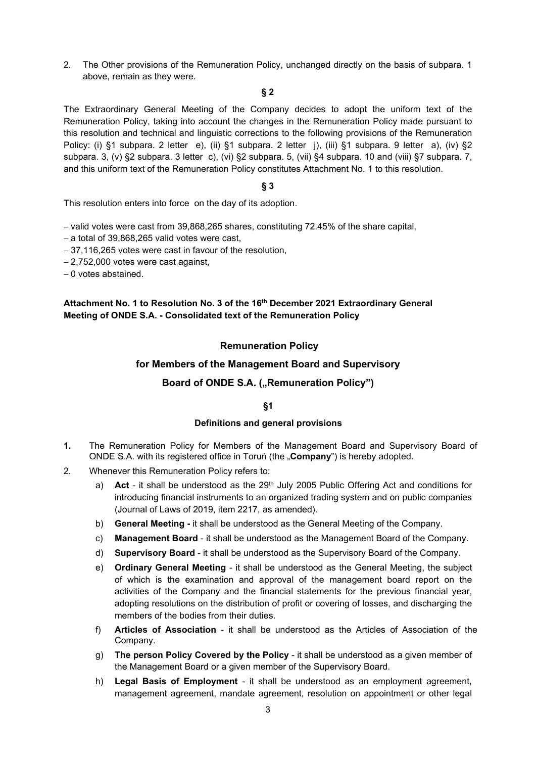2. The Other provisions of the Remuneration Policy, unchanged directly on the basis of subpara. 1 above, remain as they were.

# **§ 2**

The Extraordinary General Meeting of the Company decides to adopt the uniform text of the Remuneration Policy, taking into account the changes in the Remuneration Policy made pursuant to this resolution and technical and linguistic corrections to the following provisions of the Remuneration Policy: (i) §1 subpara. 2 letter e), (ii) §1 subpara. 2 letter j), (iii) §1 subpara. 9 letter a), (iv) §2 subpara. 3, (v) §2 subpara. 3 letter c), (vi) §2 subpara. 5, (vii) §4 subpara. 10 and (viii) §7 subpara. 7, and this uniform text of the Remuneration Policy constitutes Attachment No. 1 to this resolution.

# **§ 3**

This resolution enters into force on the day of its adoption.

− valid votes were cast from 39,868,265 shares, constituting 72.45% of the share capital,

- − a total of 39,868,265 valid votes were cast,
- − 37,116,265 votes were cast in favour of the resolution,
- − 2,752,000 votes were cast against,

− 0 votes abstained.

# **Attachment No. 1 to Resolution No. 3 of the 16th December 2021 Extraordinary General Meeting of ONDE S.A. - Consolidated text of the Remuneration Policy**

# **Remuneration Policy**

# **for Members of the Management Board and Supervisory**

# **Board of ONDE S.A. ("Remuneration Policy")**

# **§1**

### **Definitions and general provisions**

- **1.** The Remuneration Policy for Members of the Management Board and Supervisory Board of ONDE S.A. with its registered office in Toruń (the "**Company**") is hereby adopted.
- 2. Whenever this Remuneration Policy refers to:
	- a) **Act** it shall be understood as the 29<sup>th</sup> July 2005 Public Offering Act and conditions for introducing financial instruments to an organized trading system and on public companies (Journal of Laws of 2019, item 2217, as amended).
	- b) **General Meeting -** it shall be understood as the General Meeting of the Company.
	- c) **Management Board**  it shall be understood as the Management Board of the Company.
	- d) **Supervisory Board**  it shall be understood as the Supervisory Board of the Company.
	- e) **Ordinary General Meeting**  it shall be understood as the General Meeting, the subject of which is the examination and approval of the management board report on the activities of the Company and the financial statements for the previous financial year, adopting resolutions on the distribution of profit or covering of losses, and discharging the members of the bodies from their duties.
	- f) **Articles of Association**  it shall be understood as the Articles of Association of the Company.
	- g) **The person Policy Covered by the Policy**  it shall be understood as a given member of the Management Board or a given member of the Supervisory Board.
	- h) **Legal Basis of Employment** it shall be understood as an employment agreement, management agreement, mandate agreement, resolution on appointment or other legal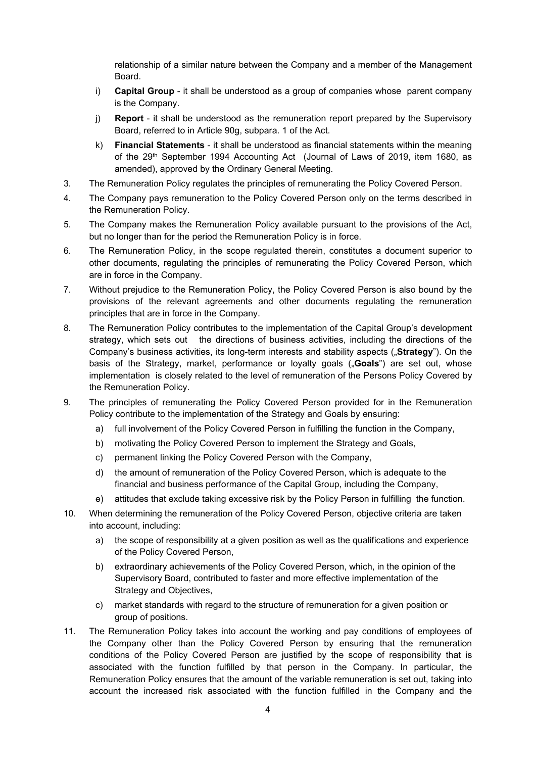relationship of a similar nature between the Company and a member of the Management Board.

- i) **Capital Group**  it shall be understood as a group of companies whose parent company is the Company.
- j) **Report**  it shall be understood as the remuneration report prepared by the Supervisory Board, referred to in Article 90g, subpara. 1 of the Act.
- k) **Financial Statements** it shall be understood as financial statements within the meaning of the 29th September 1994 Accounting Act (Journal of Laws of 2019, item 1680, as amended), approved by the Ordinary General Meeting.
- 3. The Remuneration Policy regulates the principles of remunerating the Policy Covered Person.
- 4. The Company pays remuneration to the Policy Covered Person only on the terms described in the Remuneration Policy.
- 5. The Company makes the Remuneration Policy available pursuant to the provisions of the Act, but no longer than for the period the Remuneration Policy is in force.
- 6. The Remuneration Policy, in the scope regulated therein, constitutes a document superior to other documents, regulating the principles of remunerating the Policy Covered Person, which are in force in the Company.
- 7. Without prejudice to the Remuneration Policy, the Policy Covered Person is also bound by the provisions of the relevant agreements and other documents regulating the remuneration principles that are in force in the Company.
- 8. The Remuneration Policy contributes to the implementation of the Capital Group's development strategy, which sets out the directions of business activities, including the directions of the Company's business activities, its long-term interests and stability aspects ("**Strategy**"). On the basis of the Strategy, market, performance or loyalty goals ("**Goals**") are set out, whose implementation is closely related to the level of remuneration of the Persons Policy Covered by the Remuneration Policy.
- 9. The principles of remunerating the Policy Covered Person provided for in the Remuneration Policy contribute to the implementation of the Strategy and Goals by ensuring:
	- a) full involvement of the Policy Covered Person in fulfilling the function in the Company,
	- b) motivating the Policy Covered Person to implement the Strategy and Goals,
	- c) permanent linking the Policy Covered Person with the Company,
	- d) the amount of remuneration of the Policy Covered Person, which is adequate to the financial and business performance of the Capital Group, including the Company,
	- e) attitudes that exclude taking excessive risk by the Policy Person in fulfilling the function.
- 10. When determining the remuneration of the Policy Covered Person, objective criteria are taken into account, including:
	- a) the scope of responsibility at a given position as well as the qualifications and experience of the Policy Covered Person,
	- b) extraordinary achievements of the Policy Covered Person, which, in the opinion of the Supervisory Board, contributed to faster and more effective implementation of the Strategy and Objectives,
	- c) market standards with regard to the structure of remuneration for a given position or group of positions.
- 11. The Remuneration Policy takes into account the working and pay conditions of employees of the Company other than the Policy Covered Person by ensuring that the remuneration conditions of the Policy Covered Person are justified by the scope of responsibility that is associated with the function fulfilled by that person in the Company. In particular, the Remuneration Policy ensures that the amount of the variable remuneration is set out, taking into account the increased risk associated with the function fulfilled in the Company and the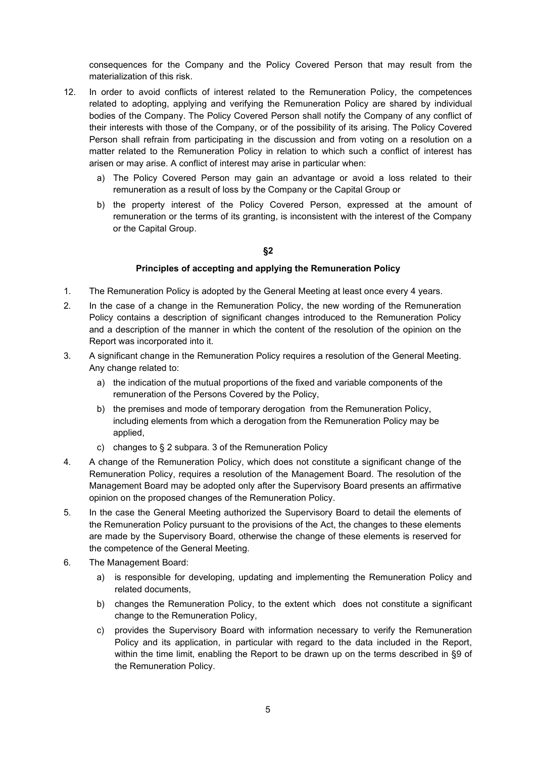consequences for the Company and the Policy Covered Person that may result from the materialization of this risk.

- 12. In order to avoid conflicts of interest related to the Remuneration Policy, the competences related to adopting, applying and verifying the Remuneration Policy are shared by individual bodies of the Company. The Policy Covered Person shall notify the Company of any conflict of their interests with those of the Company, or of the possibility of its arising. The Policy Covered Person shall refrain from participating in the discussion and from voting on a resolution on a matter related to the Remuneration Policy in relation to which such a conflict of interest has arisen or may arise. A conflict of interest may arise in particular when:
	- a) The Policy Covered Person may gain an advantage or avoid a loss related to their remuneration as a result of loss by the Company or the Capital Group or
	- b) the property interest of the Policy Covered Person, expressed at the amount of remuneration or the terms of its granting, is inconsistent with the interest of the Company or the Capital Group.

### **§2**

### **Principles of accepting and applying the Remuneration Policy**

- 1. The Remuneration Policy is adopted by the General Meeting at least once every 4 years.
- 2. In the case of a change in the Remuneration Policy, the new wording of the Remuneration Policy contains a description of significant changes introduced to the Remuneration Policy and a description of the manner in which the content of the resolution of the opinion on the Report was incorporated into it.
- 3. A significant change in the Remuneration Policy requires a resolution of the General Meeting. Any change related to:
	- a) the indication of the mutual proportions of the fixed and variable components of the remuneration of the Persons Covered by the Policy,
	- b) the premises and mode of temporary derogation from the Remuneration Policy, including elements from which a derogation from the Remuneration Policy may be applied,
	- c) changes to § 2 subpara. 3 of the Remuneration Policy
- 4. A change of the Remuneration Policy, which does not constitute a significant change of the Remuneration Policy, requires a resolution of the Management Board. The resolution of the Management Board may be adopted only after the Supervisory Board presents an affirmative opinion on the proposed changes of the Remuneration Policy.
- 5. In the case the General Meeting authorized the Supervisory Board to detail the elements of the Remuneration Policy pursuant to the provisions of the Act, the changes to these elements are made by the Supervisory Board, otherwise the change of these elements is reserved for the competence of the General Meeting.
- 6. The Management Board:
	- a) is responsible for developing, updating and implementing the Remuneration Policy and related documents,
	- b) changes the Remuneration Policy, to the extent which does not constitute a significant change to the Remuneration Policy,
	- c) provides the Supervisory Board with information necessary to verify the Remuneration Policy and its application, in particular with regard to the data included in the Report, within the time limit, enabling the Report to be drawn up on the terms described in §9 of the Remuneration Policy.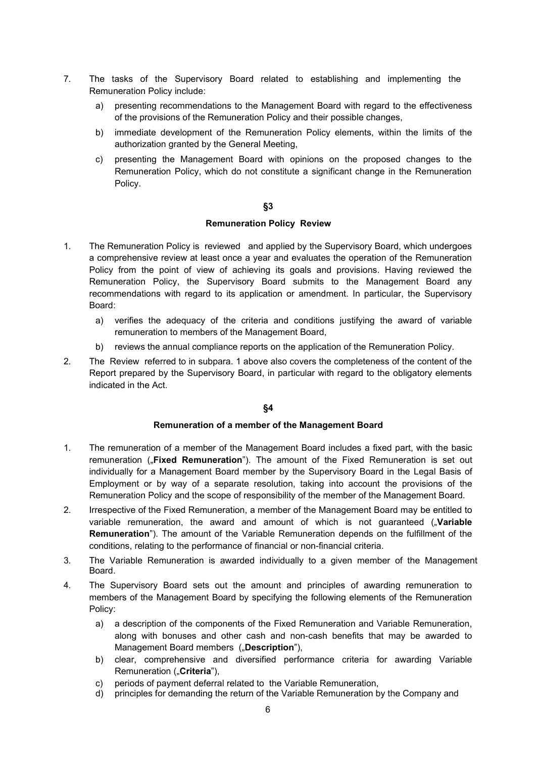- 7. The tasks of the Supervisory Board related to establishing and implementing the Remuneration Policy include:
	- a) presenting recommendations to the Management Board with regard to the effectiveness of the provisions of the Remuneration Policy and their possible changes,
	- b) immediate development of the Remuneration Policy elements, within the limits of the authorization granted by the General Meeting,
	- c) presenting the Management Board with opinions on the proposed changes to the Remuneration Policy, which do not constitute a significant change in the Remuneration Policy.

### **§3**

### **Remuneration Policy Review**

- 1. The Remuneration Policy is reviewed and applied by the Supervisory Board, which undergoes a comprehensive review at least once a year and evaluates the operation of the Remuneration Policy from the point of view of achieving its goals and provisions. Having reviewed the Remuneration Policy, the Supervisory Board submits to the Management Board any recommendations with regard to its application or amendment. In particular, the Supervisory Board:
	- a) verifies the adequacy of the criteria and conditions justifying the award of variable remuneration to members of the Management Board,
	- b) reviews the annual compliance reports on the application of the Remuneration Policy.
- 2. The Review referred to in subpara. 1 above also covers the completeness of the content of the Report prepared by the Supervisory Board, in particular with regard to the obligatory elements indicated in the Act.

# **§4**

# **Remuneration of a member of the Management Board**

- 1. The remuneration of a member of the Management Board includes a fixed part, with the basic remuneration ("**Fixed Remuneration**"). The amount of the Fixed Remuneration is set out individually for a Management Board member by the Supervisory Board in the Legal Basis of Employment or by way of a separate resolution, taking into account the provisions of the Remuneration Policy and the scope of responsibility of the member of the Management Board.
- 2. Irrespective of the Fixed Remuneration, a member of the Management Board may be entitled to variable remuneration, the award and amount of which is not guaranteed ("Variable **Remuneration**"). The amount of the Variable Remuneration depends on the fulfillment of the conditions, relating to the performance of financial or non-financial criteria.
- 3. The Variable Remuneration is awarded individually to a given member of the Management Board.
- 4. The Supervisory Board sets out the amount and principles of awarding remuneration to members of the Management Board by specifying the following elements of the Remuneration Policy:
	- a) a description of the components of the Fixed Remuneration and Variable Remuneration, along with bonuses and other cash and non-cash benefits that may be awarded to Management Board members ("Description"),
	- b) clear, comprehensive and diversified performance criteria for awarding Variable Remuneration ("Criteria"),
	- c) periods of payment deferral related to the Variable Remuneration,
	- d) principles for demanding the return of the Variable Remuneration by the Company and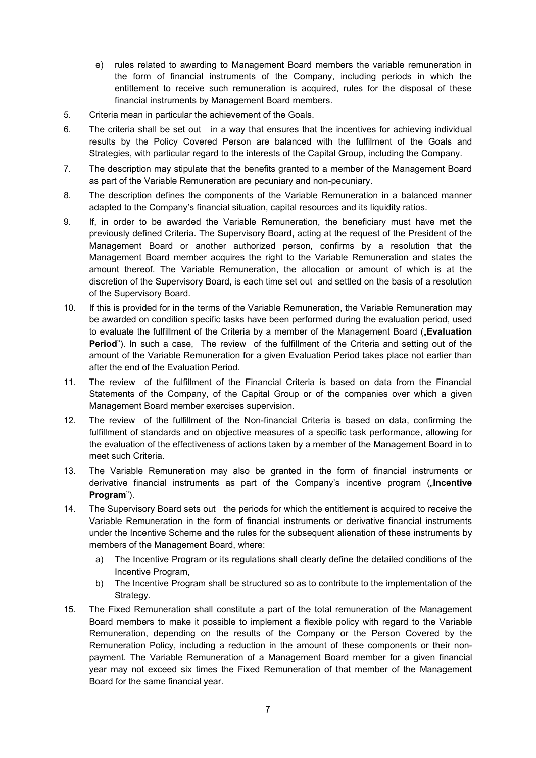- e) rules related to awarding to Management Board members the variable remuneration in the form of financial instruments of the Company, including periods in which the entitlement to receive such remuneration is acquired, rules for the disposal of these financial instruments by Management Board members.
- 5. Criteria mean in particular the achievement of the Goals.
- 6. The criteria shall be set out in a way that ensures that the incentives for achieving individual results by the Policy Covered Person are balanced with the fulfilment of the Goals and Strategies, with particular regard to the interests of the Capital Group, including the Company.
- 7. The description may stipulate that the benefits granted to a member of the Management Board as part of the Variable Remuneration are pecuniary and non-pecuniary.
- 8. The description defines the components of the Variable Remuneration in a balanced manner adapted to the Company's financial situation, capital resources and its liquidity ratios.
- 9. If, in order to be awarded the Variable Remuneration, the beneficiary must have met the previously defined Criteria. The Supervisory Board, acting at the request of the President of the Management Board or another authorized person, confirms by a resolution that the Management Board member acquires the right to the Variable Remuneration and states the amount thereof. The Variable Remuneration, the allocation or amount of which is at the discretion of the Supervisory Board, is each time set out and settled on the basis of a resolution of the Supervisory Board.
- 10. If this is provided for in the terms of the Variable Remuneration, the Variable Remuneration may be awarded on condition specific tasks have been performed during the evaluation period, used to evaluate the fulfillment of the Criteria by a member of the Management Board ("**Evaluation Period**"). In such a case, The review of the fulfillment of the Criteria and setting out of the amount of the Variable Remuneration for a given Evaluation Period takes place not earlier than after the end of the Evaluation Period.
- 11. The review of the fulfillment of the Financial Criteria is based on data from the Financial Statements of the Company, of the Capital Group or of the companies over which a given Management Board member exercises supervision.
- 12. The review of the fulfillment of the Non-financial Criteria is based on data, confirming the fulfillment of standards and on objective measures of a specific task performance, allowing for the evaluation of the effectiveness of actions taken by a member of the Management Board in to meet such Criteria.
- 13. The Variable Remuneration may also be granted in the form of financial instruments or derivative financial instruments as part of the Company's incentive program ("**Incentive Program**").
- 14. The Supervisory Board sets out the periods for which the entitlement is acquired to receive the Variable Remuneration in the form of financial instruments or derivative financial instruments under the Incentive Scheme and the rules for the subsequent alienation of these instruments by members of the Management Board, where:
	- a) The Incentive Program or its regulations shall clearly define the detailed conditions of the Incentive Program,
	- b) The Incentive Program shall be structured so as to contribute to the implementation of the Strategy.
- 15. The Fixed Remuneration shall constitute a part of the total remuneration of the Management Board members to make it possible to implement a flexible policy with regard to the Variable Remuneration, depending on the results of the Company or the Person Covered by the Remuneration Policy, including a reduction in the amount of these components or their nonpayment. The Variable Remuneration of a Management Board member for a given financial year may not exceed six times the Fixed Remuneration of that member of the Management Board for the same financial year.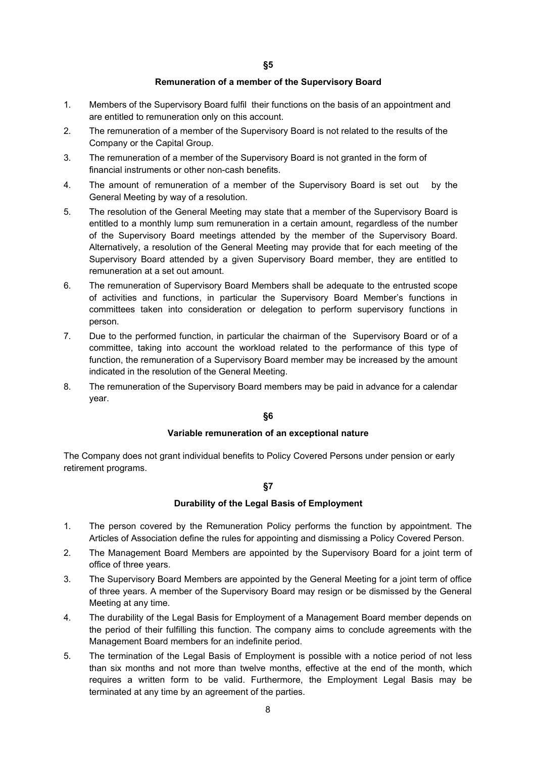#### **Remuneration of a member of the Supervisory Board**

- 1. Members of the Supervisory Board fulfil their functions on the basis of an appointment and are entitled to remuneration only on this account.
- 2. The remuneration of a member of the Supervisory Board is not related to the results of the Company or the Capital Group.
- 3. The remuneration of a member of the Supervisory Board is not granted in the form of financial instruments or other non-cash benefits.
- 4. The amount of remuneration of a member of the Supervisory Board is set out by the General Meeting by way of a resolution.
- 5. The resolution of the General Meeting may state that a member of the Supervisory Board is entitled to a monthly lump sum remuneration in a certain amount, regardless of the number of the Supervisory Board meetings attended by the member of the Supervisory Board. Alternatively, a resolution of the General Meeting may provide that for each meeting of the Supervisory Board attended by a given Supervisory Board member, they are entitled to remuneration at a set out amount.
- 6. The remuneration of Supervisory Board Members shall be adequate to the entrusted scope of activities and functions, in particular the Supervisory Board Member's functions in committees taken into consideration or delegation to perform supervisory functions in person.
- 7. Due to the performed function, in particular the chairman of the Supervisory Board or of a committee, taking into account the workload related to the performance of this type of function, the remuneration of a Supervisory Board member may be increased by the amount indicated in the resolution of the General Meeting.
- 8. The remuneration of the Supervisory Board members may be paid in advance for a calendar year.

### **§6**

### **Variable remuneration of an exceptional nature**

The Company does not grant individual benefits to Policy Covered Persons under pension or early retirement programs.

#### **§7**

#### **Durability of the Legal Basis of Employment**

- 1. The person covered by the Remuneration Policy performs the function by appointment. The Articles of Association define the rules for appointing and dismissing a Policy Covered Person.
- 2. The Management Board Members are appointed by the Supervisory Board for a joint term of office of three years.
- 3. The Supervisory Board Members are appointed by the General Meeting for a joint term of office of three years. A member of the Supervisory Board may resign or be dismissed by the General Meeting at any time.
- 4. The durability of the Legal Basis for Employment of a Management Board member depends on the period of their fulfilling this function. The company aims to conclude agreements with the Management Board members for an indefinite period.
- 5. The termination of the Legal Basis of Employment is possible with a notice period of not less than six months and not more than twelve months, effective at the end of the month, which requires a written form to be valid. Furthermore, the Employment Legal Basis may be terminated at any time by an agreement of the parties.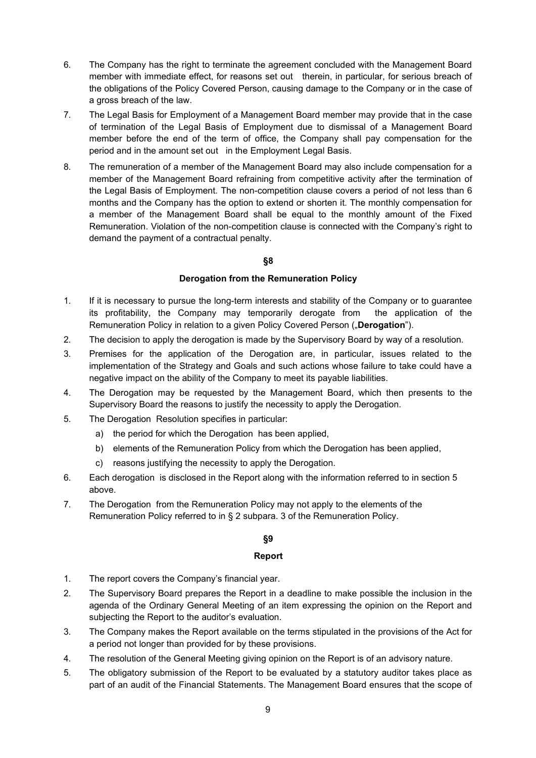- 6. The Company has the right to terminate the agreement concluded with the Management Board member with immediate effect, for reasons set out therein, in particular, for serious breach of the obligations of the Policy Covered Person, causing damage to the Company or in the case of a gross breach of the law.
- 7. The Legal Basis for Employment of a Management Board member may provide that in the case of termination of the Legal Basis of Employment due to dismissal of a Management Board member before the end of the term of office, the Company shall pay compensation for the period and in the amount set out in the Employment Legal Basis.
- 8. The remuneration of a member of the Management Board may also include compensation for a member of the Management Board refraining from competitive activity after the termination of the Legal Basis of Employment. The non-competition clause covers a period of not less than 6 months and the Company has the option to extend or shorten it. The monthly compensation for a member of the Management Board shall be equal to the monthly amount of the Fixed Remuneration. Violation of the non-competition clause is connected with the Company's right to demand the payment of a contractual penalty.

# **§8**

# **Derogation from the Remuneration Policy**

- 1. If it is necessary to pursue the long-term interests and stability of the Company or to guarantee its profitability, the Company may temporarily derogate from the application of the Remuneration Policy in relation to a given Policy Covered Person ("**Derogation**").
- 2. The decision to apply the derogation is made by the Supervisory Board by way of a resolution.
- 3. Premises for the application of the Derogation are, in particular, issues related to the implementation of the Strategy and Goals and such actions whose failure to take could have a negative impact on the ability of the Company to meet its payable liabilities.
- 4. The Derogation may be requested by the Management Board, which then presents to the Supervisory Board the reasons to justify the necessity to apply the Derogation.
- 5. The Derogation Resolution specifies in particular:
	- a) the period for which the Derogation has been applied,
	- b) elements of the Remuneration Policy from which the Derogation has been applied,
	- c) reasons justifying the necessity to apply the Derogation.
- 6. Each derogation is disclosed in the Report along with the information referred to in section 5 above.
- 7. The Derogation from the Remuneration Policy may not apply to the elements of the Remuneration Policy referred to in § 2 subpara. 3 of the Remuneration Policy.

# **§9**

# **Report**

- 1. The report covers the Company's financial year.
- 2. The Supervisory Board prepares the Report in a deadline to make possible the inclusion in the agenda of the Ordinary General Meeting of an item expressing the opinion on the Report and subjecting the Report to the auditor's evaluation.
- 3. The Company makes the Report available on the terms stipulated in the provisions of the Act for a period not longer than provided for by these provisions.
- 4. The resolution of the General Meeting giving opinion on the Report is of an advisory nature.
- 5. The obligatory submission of the Report to be evaluated by a statutory auditor takes place as part of an audit of the Financial Statements. The Management Board ensures that the scope of